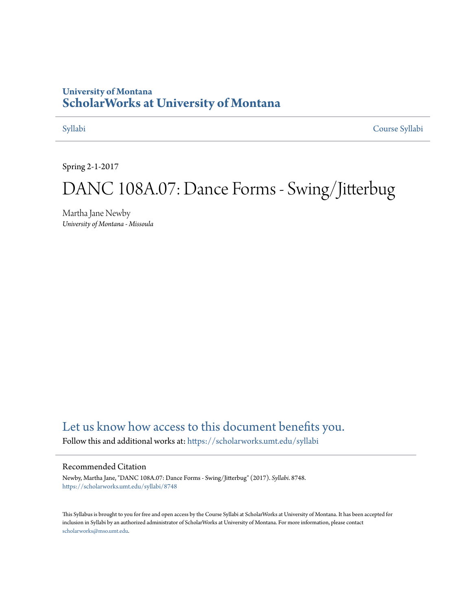### **University of Montana [ScholarWorks at University of Montana](https://scholarworks.umt.edu?utm_source=scholarworks.umt.edu%2Fsyllabi%2F8748&utm_medium=PDF&utm_campaign=PDFCoverPages)**

[Syllabi](https://scholarworks.umt.edu/syllabi?utm_source=scholarworks.umt.edu%2Fsyllabi%2F8748&utm_medium=PDF&utm_campaign=PDFCoverPages) [Course Syllabi](https://scholarworks.umt.edu/course_syllabi?utm_source=scholarworks.umt.edu%2Fsyllabi%2F8748&utm_medium=PDF&utm_campaign=PDFCoverPages)

Spring 2-1-2017

# DANC 108A.07: Dance Forms - Swing/Jitterbug

Martha Jane Newby *University of Montana - Missoula*

# [Let us know how access to this document benefits you.](https://goo.gl/forms/s2rGfXOLzz71qgsB2)

Follow this and additional works at: [https://scholarworks.umt.edu/syllabi](https://scholarworks.umt.edu/syllabi?utm_source=scholarworks.umt.edu%2Fsyllabi%2F8748&utm_medium=PDF&utm_campaign=PDFCoverPages)

#### Recommended Citation

Newby, Martha Jane, "DANC 108A.07: Dance Forms - Swing/Jitterbug" (2017). *Syllabi*. 8748. [https://scholarworks.umt.edu/syllabi/8748](https://scholarworks.umt.edu/syllabi/8748?utm_source=scholarworks.umt.edu%2Fsyllabi%2F8748&utm_medium=PDF&utm_campaign=PDFCoverPages)

This Syllabus is brought to you for free and open access by the Course Syllabi at ScholarWorks at University of Montana. It has been accepted for inclusion in Syllabi by an authorized administrator of ScholarWorks at University of Montana. For more information, please contact [scholarworks@mso.umt.edu](mailto:scholarworks@mso.umt.edu).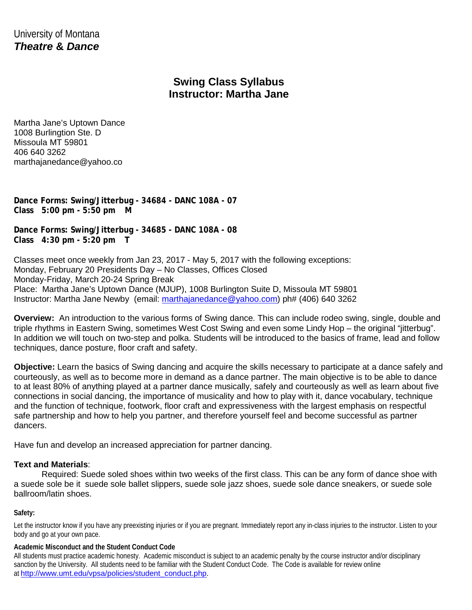University of Montana *Theatre* **&** *Dance*

## **Swing Class Syllabus Instructor: Martha Jane**

Martha Jane's Uptown Dance 1008 Burlingtion Ste. D Missoula MT 59801 406 640 3262 marthajanedance@yahoo.co

**Dance Forms: Swing/Jitterbug - 34684 - DANC 108A - 07 Class 5:00 pm - 5:50 pm M** 

**Dance Forms: Swing/Jitterbug - 34685 - DANC 108A - 08 Class 4:30 pm - 5:20 pm T** 

Classes meet once weekly from Jan 23, 2017 - May 5, 2017 with the following exceptions: Monday, February 20 Presidents Day – No Classes, Offices Closed Monday-Friday, March 20-24 Spring Break Place: Martha Jane's Uptown Dance (MJUP), 1008 Burlington Suite D, Missoula MT 59801 Instructor: Martha Jane Newby (email: [marthajanedance@yahoo.com\)](mailto:marthajanedance@yahoo.com) ph# (406) 640 3262

**Overview:** An introduction to the various forms of Swing dance. This can include rodeo swing, single, double and triple rhythms in Eastern Swing, sometimes West Cost Swing and even some Lindy Hop – the original "jitterbug". In addition we will touch on two-step and polka. Students will be introduced to the basics of frame, lead and follow techniques, dance posture, floor craft and safety.

**Objective:** Learn the basics of Swing dancing and acquire the skills necessary to participate at a dance safely and courteously, as well as to become more in demand as a dance partner. The main objective is to be able to dance to at least 80% of anything played at a partner dance musically, safely and courteously as well as learn about five connections in social dancing, the importance of musicality and how to play with it, dance vocabulary, technique and the function of technique, footwork, floor craft and expressiveness with the largest emphasis on respectful safe partnership and how to help you partner, and therefore yourself feel and become successful as partner dancers.

Have fun and develop an increased appreciation for partner dancing.

#### **Text and Materials**:

Required: Suede soled shoes within two weeks of the first class. This can be any form of dance shoe with a suede sole be it suede sole ballet slippers, suede sole jazz shoes, suede sole dance sneakers, or suede sole ballroom/latin shoes.

#### **Safety:**

Let the instructor know if you have any preexisting injuries or if you are pregnant. Immediately report any in-class injuries to the instructor. Listen to your body and go at your own pace.

#### **Academic Misconduct and the Student Conduct Code**

All students must practice academic honesty. Academic misconduct is subject to an academic penalty by the course instructor and/or disciplinary sanction by the University. All students need to be familiar with the Student Conduct Code. The Code is available for review online at [http://www.umt.edu/vpsa/policies/student\\_conduct.php.](http://www.umt.edu/vpsa/policies/student_conduct.php)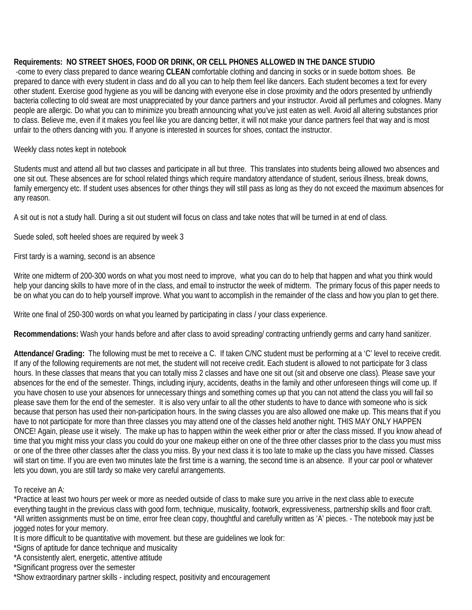### **Requirements: NO STREET SHOES, FOOD OR DRINK, OR CELL PHONES ALLOWED IN THE DANCE STUDIO**

 -come to every class prepared to dance wearing **CLEAN** comfortable clothing and dancing in socks or in suede bottom shoes. Be prepared to dance with every student in class and do all you can to help them feel like dancers. Each student becomes a text for every other student. Exercise good hygiene as you will be dancing with everyone else in close proximity and the odors presented by unfriendly bacteria collecting to old sweat are most unappreciated by your dance partners and your instructor. Avoid all perfumes and colognes. Many people are allergic. Do what you can to minimize you breath announcing what you've just eaten as well. Avoid all altering substances prior to class. Believe me, even if it makes you feel like you are dancing better, it will not make your dance partners feel that way and is most unfair to the others dancing with you. If anyone is interested in sources for shoes, contact the instructor.

#### Weekly class notes kept in notebook

Students must and attend all but two classes and participate in all but three. This translates into students being allowed two absences and one sit out. These absences are for school related things which require mandatory attendance of student, serious illness, break downs, family emergency etc. If student uses absences for other things they will still pass as long as they do not exceed the maximum absences for any reason.

A sit out is not a study hall. During a sit out student will focus on class and take notes that will be turned in at end of class.

Suede soled, soft heeled shoes are required by week 3

First tardy is a warning, second is an absence

Write one midterm of 200-300 words on what you most need to improve, what you can do to help that happen and what you think would help your dancing skills to have more of in the class, and email to instructor the week of midterm. The primary focus of this paper needs to be on what you can do to help yourself improve. What you want to accomplish in the remainder of the class and how you plan to get there.

Write one final of 250-300 words on what you learned by participating in class / your class experience.

**Recommendations:** Wash your hands before and after class to avoid spreading/ contracting unfriendly germs and carry hand sanitizer.

**Attendance/ Grading:** The following must be met to receive a C. If taken C/NC student must be performing at a 'C' level to receive credit. If any of the following requirements are not met, the student will not receive credit. Each student is allowed to not participate for 3 class hours. In these classes that means that you can totally miss 2 classes and have one sit out (sit and observe one class). Please save your absences for the end of the semester. Things, including injury, accidents, deaths in the family and other unforeseen things will come up. If you have chosen to use your absences for unnecessary things and something comes up that you can not attend the class you will fail so please save them for the end of the semester. It is also very unfair to all the other students to have to dance with someone who is sick because that person has used their non-participation hours. In the swing classes you are also allowed one make up. This means that if you have to not participate for more than three classes you may attend one of the classes held another night. THIS MAY ONLY HAPPEN ONCE! Again, please use it wisely. The make up has to happen within the week either prior or after the class missed. If you know ahead of time that you might miss your class you could do your one makeup either on one of the three other classes prior to the class you must miss or one of the three other classes after the class you miss. By your next class it is too late to make up the class you have missed. Classes will start on time. If you are even two minutes late the first time is a warning, the second time is an absence. If your car pool or whatever lets you down, you are still tardy so make very careful arrangements.

#### To receive an A:

\*Practice at least two hours per week or more as needed outside of class to make sure you arrive in the next class able to execute everything taught in the previous class with good form, technique, musicality, footwork, expressiveness, partnership skills and floor craft. \*All written assignments must be on time, error free clean copy, thoughtful and carefully written as 'A' pieces. - The notebook may just be jogged notes for your memory.

It is more difficult to be quantitative with movement. but these are guidelines we look for:

\*Signs of aptitude for dance technique and musicality

\*A consistently alert, energetic, attentive attitude

\*Significant progress over the semester

\*Show extraordinary partner skills - including respect, positivity and encouragement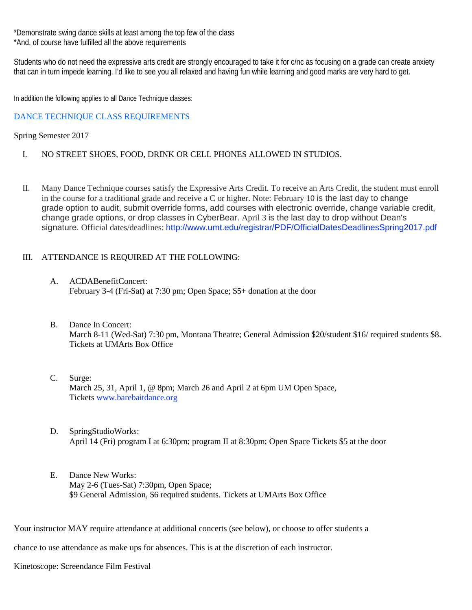\*Demonstrate swing dance skills at least among the top few of the class \*And, of course have fulfilled all the above requirements

Students who do not need the expressive arts credit are strongly encouraged to take it for c/nc as focusing on a grade can create anxiety that can in turn impede learning. I'd like to see you all relaxed and having fun while learning and good marks are very hard to get.

In addition the following applies to all Dance Technique classes:

#### DANCE TECHNIQUE CLASS REQUIREMENTS

#### Spring Semester 2017

- I. NO STREET SHOES, FOOD, DRINK OR CELL PHONES ALLOWED IN STUDIOS.
- II. Many Dance Technique courses satisfy the Expressive Arts Credit. To receive an Arts Credit, the student must enroll in the course for a traditional grade and receive a C or higher. Note: February 10 is the last day to change grade option to audit, submit override forms, add courses with electronic override, change variable credit, change grade options, or drop classes in CyberBear. April 3 is the last day to drop without Dean's signature. Official dates/deadlines: http://www.umt.edu/registrar/PDF/OfficialDatesDeadlinesSpring2017.pdf

#### III. ATTENDANCE IS REQUIRED AT THE FOLLOWING:

- A. ACDABenefitConcert: February 3-4 (Fri-Sat) at 7:30 pm; Open Space; \$5+ donation at the door
- B. Dance In Concert: March 8-11 (Wed-Sat) 7:30 pm, Montana Theatre; General Admission \$20/student \$16/ required students \$8. Tickets at UMArts Box Office
- C. Surge: March 25, 31, April 1, @ 8pm; March 26 and April 2 at 6pm UM Open Space, Tickets www.barebaitdance.org
- D. SpringStudioWorks: April 14 (Fri) program I at 6:30pm; program II at 8:30pm; Open Space Tickets \$5 at the door
- E. Dance New Works: May 2-6 (Tues-Sat) 7:30pm, Open Space; \$9 General Admission, \$6 required students. Tickets at UMArts Box Office

Your instructor MAY require attendance at additional concerts (see below), or choose to offer students a

chance to use attendance as make ups for absences. This is at the discretion of each instructor.

Kinetoscope: Screendance Film Festival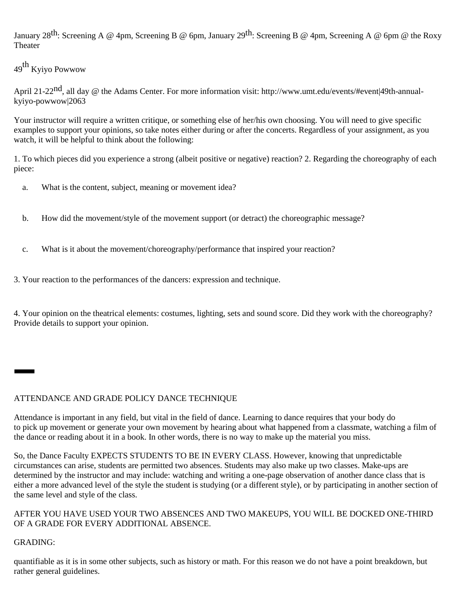January 28<sup>th</sup>: Screening A @ 4pm, Screening B @ 6pm, January 29<sup>th</sup>: Screening B @ 4pm, Screening A @ 6pm @ the Roxy Theater

49th Kyiyo Powwow

April 21-22<sup>nd</sup>, all day @ the Adams Center. For more information visit: http://www.umt.edu/events/#event|49th-annualkyiyo-powwow|2063

Your instructor will require a written critique, or something else of her/his own choosing. You will need to give specific examples to support your opinions, so take notes either during or after the concerts. Regardless of your assignment, as you watch, it will be helpful to think about the following:

1. To which pieces did you experience a strong (albeit positive or negative) reaction? 2. Regarding the choreography of each piece:

- a. What is the content, subject, meaning or movement idea?
- b. How did the movement/style of the movement support (or detract) the choreographic message?
- c. What is it about the movement/choreography/performance that inspired your reaction?

3. Your reaction to the performances of the dancers: expression and technique.

4. Your opinion on the theatrical elements: costumes, lighting, sets and sound score. Did they work with the choreography? Provide details to support your opinion.

#### ATTENDANCE AND GRADE POLICY DANCE TECHNIQUE

Attendance is important in any field, but vital in the field of dance. Learning to dance requires that your body do to pick up movement or generate your own movement by hearing about what happened from a classmate, watching a film of the dance or reading about it in a book. In other words, there is no way to make up the material you miss.

So, the Dance Faculty EXPECTS STUDENTS TO BE IN EVERY CLASS. However, knowing that unpredictable circumstances can arise, students are permitted two absences. Students may also make up two classes. Make-ups are determined by the instructor and may include: watching and writing a one-page observation of another dance class that is either a more advanced level of the style the student is studying (or a different style), or by participating in another section of the same level and style of the class.

#### AFTER YOU HAVE USED YOUR TWO ABSENCES AND TWO MAKEUPS, YOU WILL BE DOCKED ONE-THIRD OF A GRADE FOR EVERY ADDITIONAL ABSENCE.

#### GRADING:

quantifiable as it is in some other subjects, such as history or math. For this reason we do not have a point breakdown, but rather general guidelines.